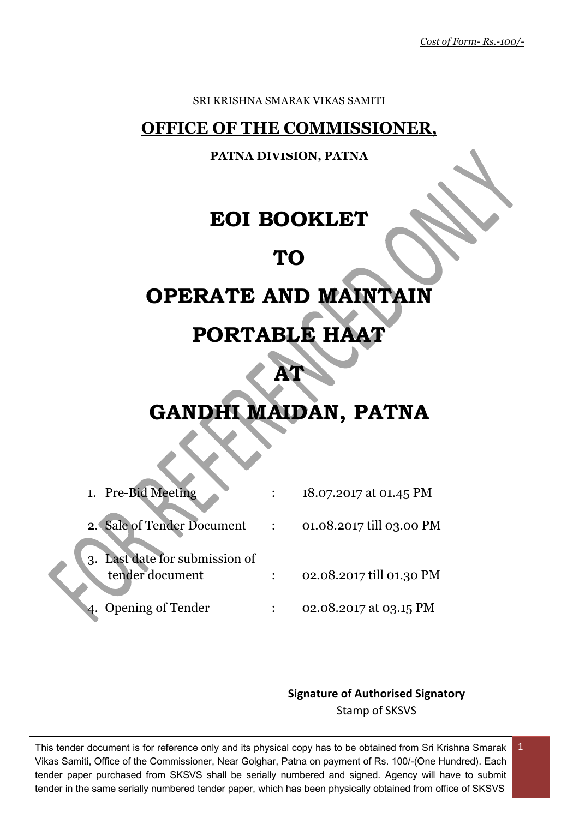#### SRI KRISHNA SMARAK VIKAS SAMITI

# **OFFICE OF THE COMMISSIONER,**

## **PATNA DIVISION, PATNA**

# **EOI BOOKLET**

# **TO**

# **OPERATE AND MAINTAIN**

# **PORTABLE HAAT**

# **GANDHI MAIDAN, PATNA**

**AT** 

| 1. Pre-Bid Meeting                                | 18.07.2017 at 01.45 PM   |
|---------------------------------------------------|--------------------------|
| 2. Sale of Tender Document                        | 01.08.2017 till 03.00 PM |
| 3. Last date for submission of<br>tender document | 02.08.2017 till 01.30 PM |
| <b>Opening of Tender</b>                          | 02.08.2017 at 03.15 PM   |

## **Signature of Authorised Signatory** Stamp of SKSVS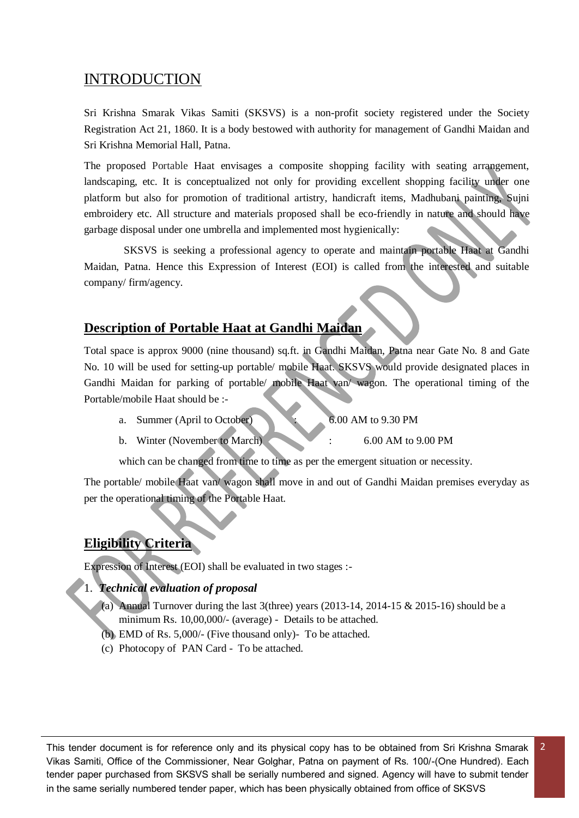# INTRODUCTION

Sri Krishna Smarak Vikas Samiti (SKSVS) is a non-profit society registered under the Society Registration Act 21, 1860. It is a body bestowed with authority for management of Gandhi Maidan and Sri Krishna Memorial Hall, Patna.

The proposed Portable Haat envisages a composite shopping facility with seating arrangement, landscaping, etc. It is conceptualized not only for providing excellent shopping facility under one platform but also for promotion of traditional artistry, handicraft items, Madhubani painting, Sujni embroidery etc. All structure and materials proposed shall be eco-friendly in nature and should have garbage disposal under one umbrella and implemented most hygienically:

SKSVS is seeking a professional agency to operate and maintain portable Haat at Gandhi Maidan, Patna. Hence this Expression of Interest (EOI) is called from the interested and suitable company/ firm/agency.

## **Description of Portable Haat at Gandhi Maidan**

Total space is approx 9000 (nine thousand) sq.ft. in Gandhi Maidan, Patna near Gate No. 8 and Gate No. 10 will be used for setting-up portable/ mobile Haat. SKSVS would provide designated places in Gandhi Maidan for parking of portable/ mobile Haat van/ wagon. The operational timing of the Portable/mobile Haat should be :-

a. Summer (April to October) 6.00 AM to 9.30 PM

2

b. Winter (November to March) : 6.00 AM to 9.00 PM

which can be changed from time to time as per the emergent situation or necessity.

The portable/ mobile Haat van/ wagon shall move in and out of Gandhi Maidan premises everyday as per the operational timing of the Portable Haat.

# **Eligibility Criteria**

Expression of Interest (EOI) shall be evaluated in two stages :-

#### 1. *Technical evaluation of proposal*

- (a) Annual Turnover during the last 3(three) years (2013-14, 2014-15 & 2015-16) should be a minimum Rs. 10,00,000/- (average) - Details to be attached.
- (b) EMD of Rs. 5,000/- (Five thousand only)- To be attached.
- (c) Photocopy of PAN Card To be attached.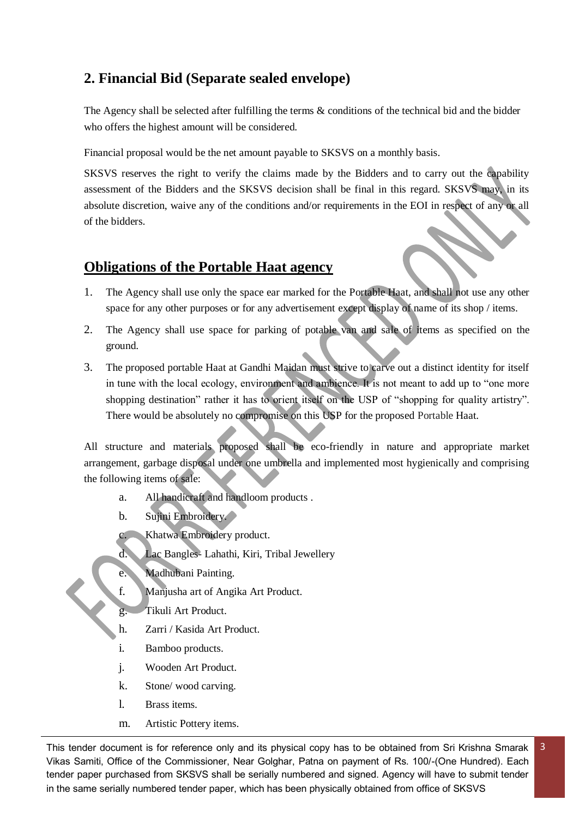# **2. Financial Bid (Separate sealed envelope)**

The Agency shall be selected after fulfilling the terms & conditions of the technical bid and the bidder who offers the highest amount will be considered.

Financial proposal would be the net amount payable to SKSVS on a monthly basis.

SKSVS reserves the right to verify the claims made by the Bidders and to carry out the capability assessment of the Bidders and the SKSVS decision shall be final in this regard. SKSVS may, in its absolute discretion, waive any of the conditions and/or requirements in the EOI in respect of any or all of the bidders.

# **Obligations of the Portable Haat agency**

- 1. The Agency shall use only the space ear marked for the Portable Haat, and shall not use any other space for any other purposes or for any advertisement except display of name of its shop / items.
- 2. The Agency shall use space for parking of potable van and sale of items as specified on the ground.
- 3. The proposed portable Haat at Gandhi Maidan must strive to carve out a distinct identity for itself in tune with the local ecology, environment and ambience. It is not meant to add up to "one more shopping destination" rather it has to orient itself on the USP of "shopping for quality artistry". There would be absolutely no compromise on this USP for the proposed Portable Haat.

All structure and materials proposed shall be eco-friendly in nature and appropriate market arrangement, garbage disposal under one umbrella and implemented most hygienically and comprising the following items of sale:

- a. All handicraft and handloom products .
- b. Sujini Embroidery.
- c. Khatwa Embroidery product.
- d. Lac Bangles- Lahathi, Kiri, Tribal Jewellery
- e. Madhubani Painting.
- f. Manjusha art of Angika Art Product.
	- Tikuli Art Product.
- h. Zarri / Kasida Art Product.
- i. Bamboo products.
- j. Wooden Art Product.
- k. Stone/ wood carving.
- l. Brass items.
- m. Artistic Pottery items.

This tender document is for reference only and its physical copy has to be obtained from Sri Krishna Smarak Vikas Samiti, Office of the Commissioner, Near Golghar, Patna on payment of Rs. 100/-(One Hundred). Each tender paper purchased from SKSVS shall be serially numbered and signed. Agency will have to submit tender in the same serially numbered tender paper, which has been physically obtained from office of SKSVS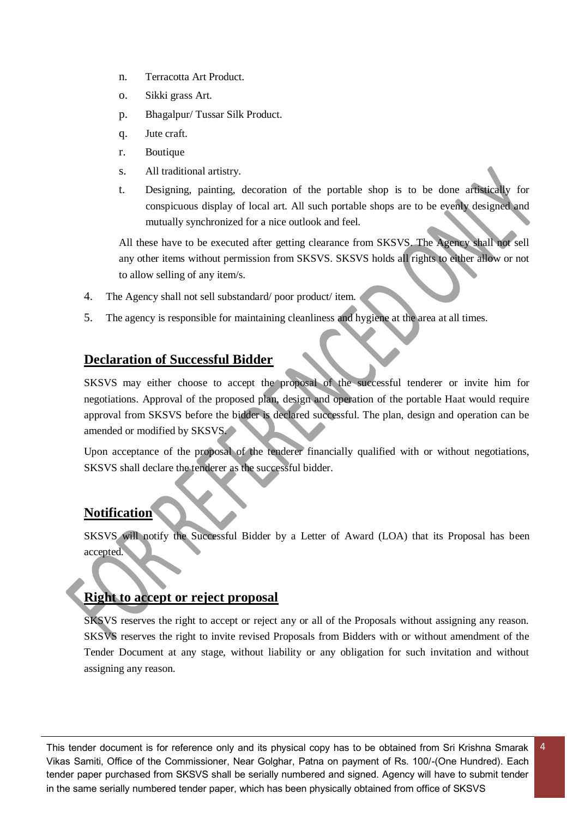- n. Terracotta Art Product.
- o. Sikki grass Art.
- p. Bhagalpur/ Tussar Silk Product.
- q. Jute craft.
- r. Boutique
- s. All traditional artistry.
- t. Designing, painting, decoration of the portable shop is to be done artistically for conspicuous display of local art. All such portable shops are to be evenly designed and mutually synchronized for a nice outlook and feel.

All these have to be executed after getting clearance from SKSVS. The Agency shall not sell any other items without permission from SKSVS. SKSVS holds all rights to either allow or not to allow selling of any item/s.

- 4. The Agency shall not sell substandard/ poor product/ item.
- 5. The agency is responsible for maintaining cleanliness and hygiene at the area at all times.

## **Declaration of Successful Bidder**

SKSVS may either choose to accept the proposal of the successful tenderer or invite him for negotiations. Approval of the proposed plan, design and operation of the portable Haat would require approval from SKSVS before the bidder is declared successful. The plan, design and operation can be amended or modified by SKSVS.

Upon acceptance of the proposal of the tenderer financially qualified with or without negotiations, SKSVS shall declare the tenderer as the successful bidder.

#### **Notification**

SKSVS will notify the Successful Bidder by a Letter of Award (LOA) that its Proposal has been accepted.

# **Right to accept or reject proposal**

SKSVS reserves the right to accept or reject any or all of the Proposals without assigning any reason. SKSVS reserves the right to invite revised Proposals from Bidders with or without amendment of the Tender Document at any stage, without liability or any obligation for such invitation and without assigning any reason.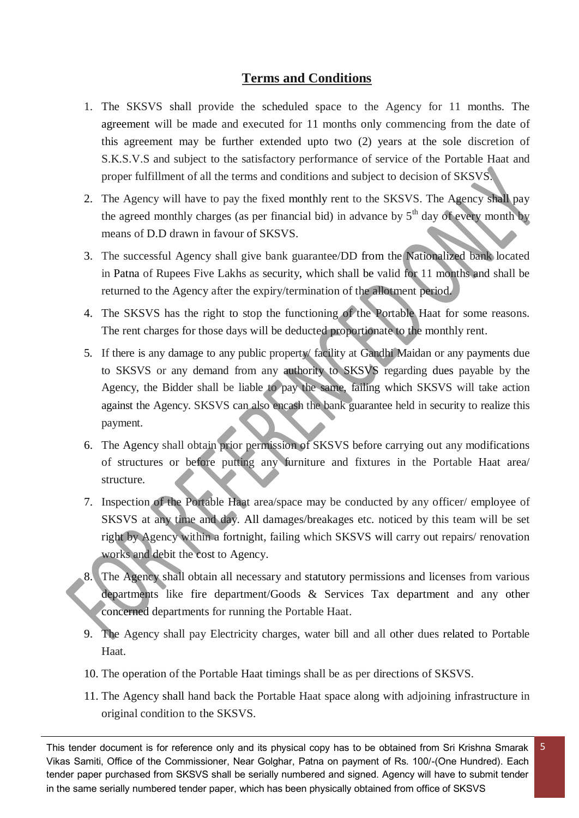## **Terms and Conditions**

- 1. The SKSVS shall provide the scheduled space to the Agency for 11 months. The agreement will be made and executed for 11 months only commencing from the date of this agreement may be further extended upto two (2) years at the sole discretion of S.K.S.V.S and subject to the satisfactory performance of service of the Portable Haat and proper fulfillment of all the terms and conditions and subject to decision of SKSVS.
- 2. The Agency will have to pay the fixed monthly rent to the SKSVS. The Agency shall pay the agreed monthly charges (as per financial bid) in advance by  $5<sup>th</sup>$  day of every month by means of D.D drawn in favour of SKSVS.
- 3. The successful Agency shall give bank guarantee/DD from the Nationalized bank located in Patna of Rupees Five Lakhs as security, which shall be valid for 11 months and shall be returned to the Agency after the expiry/termination of the allotment period.
- 4. The SKSVS has the right to stop the functioning of the Portable Haat for some reasons. The rent charges for those days will be deducted proportionate to the monthly rent.
- 5. If there is any damage to any public property/ facility at Gandhi Maidan or any payments due to SKSVS or any demand from any authority to SKSVS regarding dues payable by the Agency, the Bidder shall be liable to pay the same, failing which SKSVS will take action against the Agency. SKSVS can also encash the bank guarantee held in security to realize this payment.
- 6. The Agency shall obtain prior permission of SKSVS before carrying out any modifications of structures or before putting any furniture and fixtures in the Portable Haat area/ structure.
- 7. Inspection of the Portable Haat area/space may be conducted by any officer/ employee of SKSVS at any time and day. All damages/breakages etc. noticed by this team will be set right by Agency within a fortnight, failing which SKSVS will carry out repairs/ renovation works and debit the cost to Agency.
- 8. The Agency shall obtain all necessary and statutory permissions and licenses from various departments like fire department/Goods & Services Tax department and any other concerned departments for running the Portable Haat.
- 9. The Agency shall pay Electricity charges, water bill and all other dues related to Portable Haat.
- 10. The operation of the Portable Haat timings shall be as per directions of SKSVS.
- 11. The Agency shall hand back the Portable Haat space along with adjoining infrastructure in original condition to the SKSVS.

This tender document is for reference only and its physical copy has to be obtained from Sri Krishna Smarak Vikas Samiti, Office of the Commissioner, Near Golghar, Patna on payment of Rs. 100/-(One Hundred). Each tender paper purchased from SKSVS shall be serially numbered and signed. Agency will have to submit tender in the same serially numbered tender paper, which has been physically obtained from office of SKSVS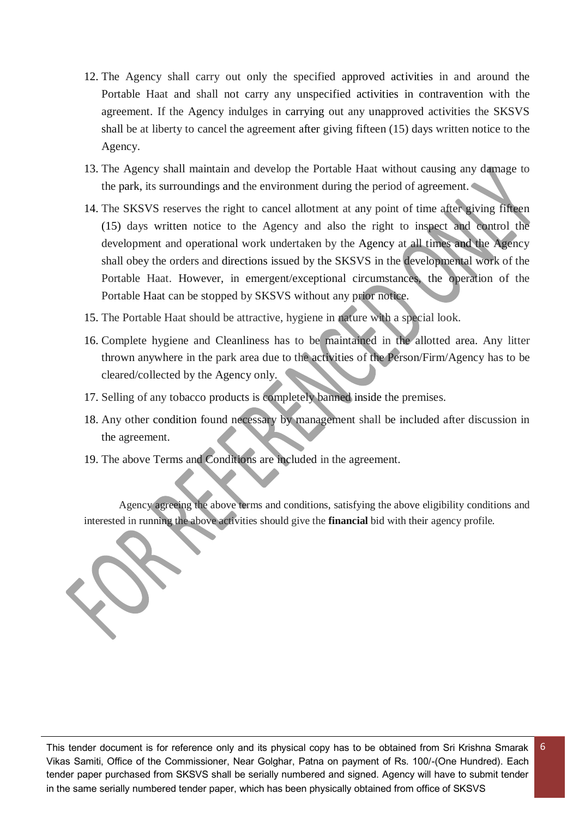- 12. The Agency shall carry out only the specified approved activities in and around the Portable Haat and shall not carry any unspecified activities in contravention with the agreement. If the Agency indulges in carrying out any unapproved activities the SKSVS shall be at liberty to cancel the agreement after giving fifteen (15) days written notice to the Agency.
- 13. The Agency shall maintain and develop the Portable Haat without causing any damage to the park, its surroundings and the environment during the period of agreement.
- 14. The SKSVS reserves the right to cancel allotment at any point of time after giving fifteen (15) days written notice to the Agency and also the right to inspect and control the development and operational work undertaken by the Agency at all times and the Agency shall obey the orders and directions issued by the SKSVS in the developmental work of the Portable Haat. However, in emergent/exceptional circumstances, the operation of the Portable Haat can be stopped by SKSVS without any prior notice.
- 15. The Portable Haat should be attractive, hygiene in nature with a special look.
- 16. Complete hygiene and Cleanliness has to be maintained in the allotted area. Any litter thrown anywhere in the park area due to the activities of the Person/Firm/Agency has to be cleared/collected by the Agency only.
- 17. Selling of any tobacco products is completely banned inside the premises.
- 18. Any other condition found necessary by management shall be included after discussion in the agreement.
- 19. The above Terms and Conditions are included in the agreement.

Agency agreeing the above terms and conditions, satisfying the above eligibility conditions and interested in running the above activities should give the **financial** bid with their agency profile.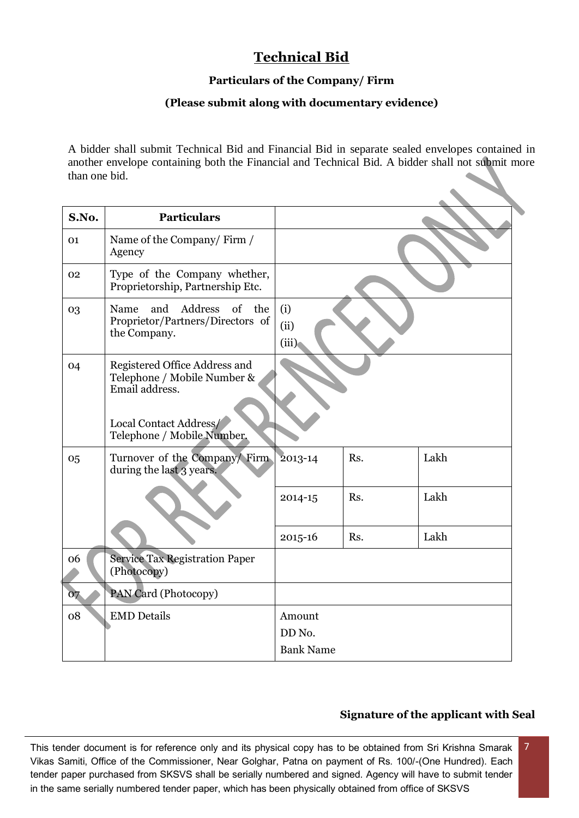# **Technical Bid**

#### **Particulars of the Company/ Firm**

#### **(Please submit along with documentary evidence)**

A bidder shall submit Technical Bid and Financial Bid in separate sealed envelopes contained in another envelope containing both the Financial and Technical Bid. A bidder shall not submit more than one bid.

| S.No. | <b>Particulars</b>                                                                   |                                      |     |      |
|-------|--------------------------------------------------------------------------------------|--------------------------------------|-----|------|
| 01    | Name of the Company/Firm /<br>Agency                                                 |                                      |     |      |
| 02    | Type of the Company whether,<br>Proprietorship, Partnership Etc.                     |                                      |     |      |
| 03    | Address<br>of the<br>Name<br>and<br>Proprietor/Partners/Directors of<br>the Company. | (i)<br>(ii)<br>(iii)                 |     |      |
| 04    | Registered Office Address and<br>Telephone / Mobile Number &<br>Email address.       |                                      |     |      |
|       | Local Contact Address/<br>Telephone / Mobile Number.                                 |                                      |     |      |
| 05    | Turnover of the Company/ Firm<br>during the last 3 years.                            | 2013-14                              | Rs. | Lakh |
|       |                                                                                      | 2014-15                              | Rs. | Lakh |
|       |                                                                                      | 2015-16                              | Rs. | Lakh |
| 06    | <b>Service Tax Registration Paper</b><br>(Photocopy)                                 |                                      |     |      |
| 07    | PAN Card (Photocopy)                                                                 |                                      |     |      |
| 08    | <b>EMD</b> Details                                                                   | Amount<br>DD No.<br><b>Bank Name</b> |     |      |

#### **Signature of the applicant with Seal**